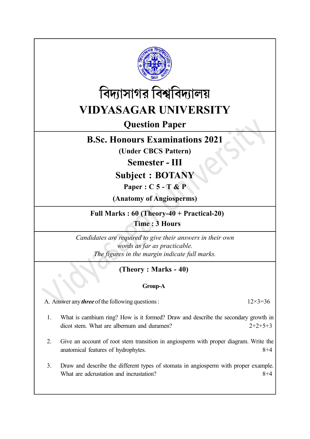

![](_page_0_Picture_1.jpeg)

# Question Paper

# B.Sc. Honours Examinations 2021

(Under CBCS Pattern)

Semester - III

Subject : BOTANY

Paper : C 5 - T & P

(Anatomy of Angiosperms)

Full Marks : 60 (Theory-40 + Practical-20) Time : 3 Hours

Candidates are required to give their answers in their own words as far as practicable. The figures in the margin indicate full marks.

## (Theory : Marks - 40)

### Group-A

A. Answer any *three* of the following questions :  $12 \times 3 = 36$ 

- 1. What is cambium ring? How is it formed? Draw and describe the secondary growth in dicot stem. What are albernum and duramen? 2+2+5+3
- 2. Give an account of root stem transition in angiosperm with proper diagram. Write the anatomical features of hydrophytes. 8+4
- 3. Draw and describe the different types of stomata in angiosperm with proper example. What are adcrustation and incrustation?  $8+4$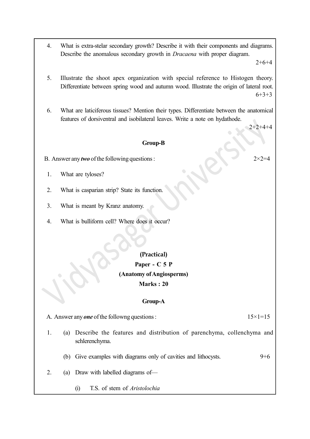4. What is extra-stelar secondary growth? Describe it with their components and diagrams. Describe the anomalous secondary growth in Dracaena with proper diagram.

 $2+6+4$ 

- 5. Illustrate the shoot apex organization with special reference to Histogen theory. Differentiate between spring wood and autumn wood. Illustrate the origin of lateral root.  $6+3+3$
- 6. What are laticiferous tissues? Mention their types. Differentiate between the anatomical features of dorsiventral and isobilateral leaves. Write a note on hydathode.

 $2+2+4+4$ 

#### Group-B

- B. Answer any *two* of the following questions :  $2 \times 2 = 4$ 
	- 1. What are tyloses?
- 2. What is casparian strip? State its function.
- 3. What is meant by Kranz anatomy.
- 4. What is bulliform cell? Where does it occur?

### (Practical)

## Paper - C 5 P (Anatomy of Angiosperms) Marks : 20

#### Group-A

A. Answer any *one* of the followng questions :  $15 \times 1 = 15$ 

- 
- 1. (a) Describe the features and distribution of parenchyma, collenchyma and schlerenchyma.
	- (b) Give examples with diagrams only of cavities and lithocysts. 9+6
- 2. (a) Draw with labelled diagrams of—
	- (i) T.S. of stem of Aristolochia